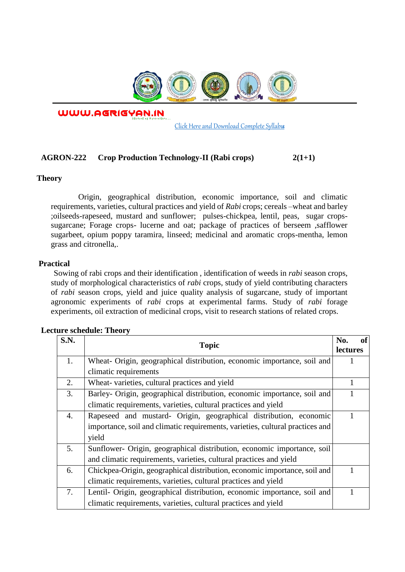

WWW.AGRIGYAN.IN

[Click Here and Download Complete Syllabus](http://agrigyan.in/)

# **AGRON-222 Crop Production Technology-II (Rabi crops) 2(1+1)**

### **Theory**

 $\overline{a}$ 

Origin, geographical distribution, economic importance, soil and climatic requirements, varieties, cultural practices and yield of *Rabi* crops; cereals –wheat and barley ;oilseeds-rapeseed, mustard and sunflower; pulses-chickpea, lentil, peas, sugar cropssugarcane; Forage crops- lucerne and oat; package of practices of berseem ,safflower sugarbeet, opium poppy taramira, linseed; medicinal and aromatic crops-mentha, lemon grass and citronella,.

## **Practical**

Sowing of rabi crops and their identification , identification of weeds in *rabi* season crops, study of morphological characteristics of *rabi* crops, study of yield contributing characters of *rabi* season crops, yield and juice quality analysis of sugarcane, study of important agronomic experiments of *rabi* crops at experimental farms. Study of *rabi* forage experiments, oil extraction of medicinal crops, visit to research stations of related crops.

| S.N. | <b>Topic</b>                                                                  | <b>of</b><br>No.<br><b>lectures</b> |
|------|-------------------------------------------------------------------------------|-------------------------------------|
| 1.   | Wheat- Origin, geographical distribution, economic importance, soil and       |                                     |
|      | climatic requirements                                                         |                                     |
| 2.   | Wheat-varieties, cultural practices and yield                                 |                                     |
| 3.   | Barley- Origin, geographical distribution, economic importance, soil and      |                                     |
|      | climatic requirements, varieties, cultural practices and yield                |                                     |
| 4.   | Rapeseed and mustard- Origin, geographical distribution, economic             |                                     |
|      | importance, soil and climatic requirements, varieties, cultural practices and |                                     |
|      | yield                                                                         |                                     |
| 5.   | Sunflower- Origin, geographical distribution, economic importance, soil       |                                     |
|      | and climatic requirements, varieties, cultural practices and yield            |                                     |
| 6.   | Chickpea-Origin, geographical distribution, economic importance, soil and     |                                     |
|      | climatic requirements, varieties, cultural practices and yield                |                                     |
| 7.   | Lentil- Origin, geographical distribution, economic importance, soil and      |                                     |
|      | climatic requirements, varieties, cultural practices and yield                |                                     |

#### **Lecture schedule: Theory**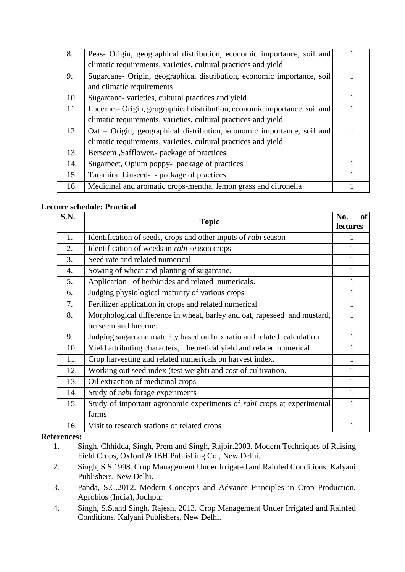| 8.  | Peas- Origin, geographical distribution, economic importance, soil and     |  |
|-----|----------------------------------------------------------------------------|--|
|     | climatic requirements, varieties, cultural practices and yield             |  |
| 9.  | Sugarcane- Origin, geographical distribution, economic importance, soil    |  |
|     | and climatic requirements                                                  |  |
| 10. | Sugarcane- varieties, cultural practices and yield                         |  |
| 11. | Lucerne - Origin, geographical distribution, economic importance, soil and |  |
|     | climatic requirements, varieties, cultural practices and yield             |  |
| 12. | Oat - Origin, geographical distribution, economic importance, soil and     |  |
|     | climatic requirements, varieties, cultural practices and yield             |  |
| 13. | Berseem , Safflower, - package of practices                                |  |
| 14. | Sugarbeet, Opium poppy- package of practices                               |  |
| 15. | Taramira, Linseed- - package of practices                                  |  |
| 16. | Medicinal and aromatic crops-mentha, lemon grass and citronella            |  |

# **Lecture schedule: Practical**

| S.N. | Topic                                                                         | <b>of</b><br>No.<br><b>lectures</b> |
|------|-------------------------------------------------------------------------------|-------------------------------------|
| 1.   | Identification of seeds, crops and other inputs of <i>rabi</i> season         | 1                                   |
| 2.   | Identification of weeds in <i>rabi</i> season crops                           |                                     |
| 3.   | Seed rate and related numerical                                               | 1                                   |
| 4.   | Sowing of wheat and planting of sugarcane.                                    | $\mathbf{1}$                        |
| 5.   | Application of herbicides and related numericals.                             | 1                                   |
| 6.   | Judging physiological maturity of various crops                               |                                     |
| 7.   | Fertilizer application in crops and related numerical                         |                                     |
| 8.   | Morphological difference in wheat, barley and oat, rapeseed and mustard,      |                                     |
|      | berseem and lucerne.                                                          |                                     |
| 9.   | Judging sugarcane maturity based on brix ratio and related calculation        | 1                                   |
| 10.  | Yield attributing characters, Theoretical yield and related numerical         |                                     |
| 11.  | Crop harvesting and related numericals on harvest index.                      | 1                                   |
| 12.  | Working out seed index (test weight) and cost of cultivation.                 | 1                                   |
| 13.  | Oil extraction of medicinal crops                                             | $\mathbf{1}$                        |
| 14.  | Study of <i>rabi</i> forage experiments                                       | 1                                   |
| 15.  | Study of important agronomic experiments of <i>rabi</i> crops at experimental |                                     |
|      | farms                                                                         |                                     |
| 16.  | Visit to research stations of related crops                                   |                                     |

## **References:**

- 1. Singh, Chhidda, Singh, Prem and Singh, Rajbir.2003. Modern Techniques of Raising Field Crops, Oxford & IBH Publishing Co., New Delhi.
- 2. Singh, S.S.1998. Crop Management Under Irrigated and Rainfed Conditions. Kalyani Publishers, New Delhi.
- 3. Panda, S.C.2012. Modern Concepts and Advance Principles in Crop Production. Agrobios (India), Jodhpur
- 4. Singh, S.S.and Singh, Rajesh. 2013. Crop Management Under Irrigated and Rainfed Conditions. Kalyani Publishers, New Delhi.